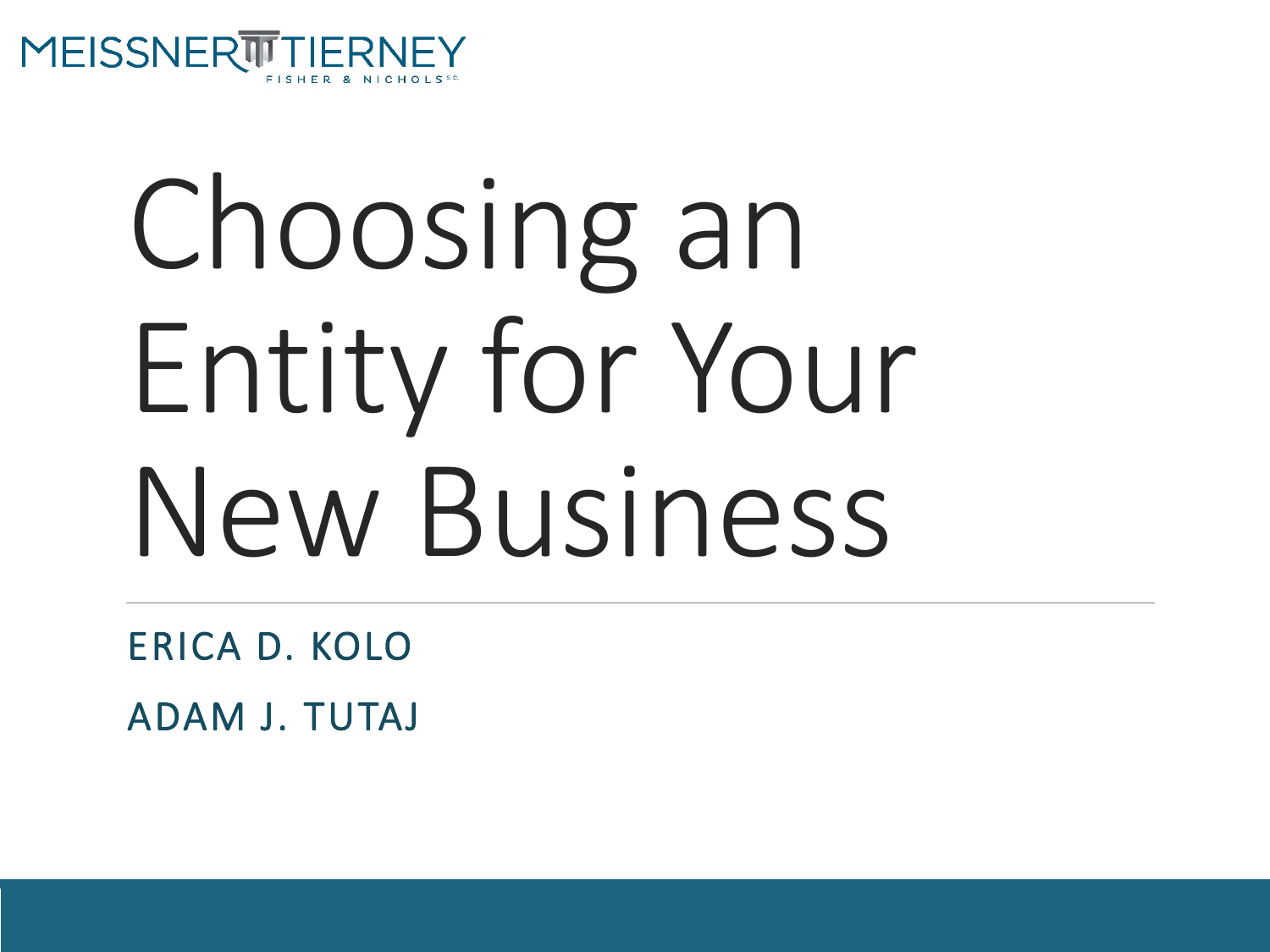

# Choosing an Entity for Your New Business

ERICA D. KOLO ADAM J. TUTAJ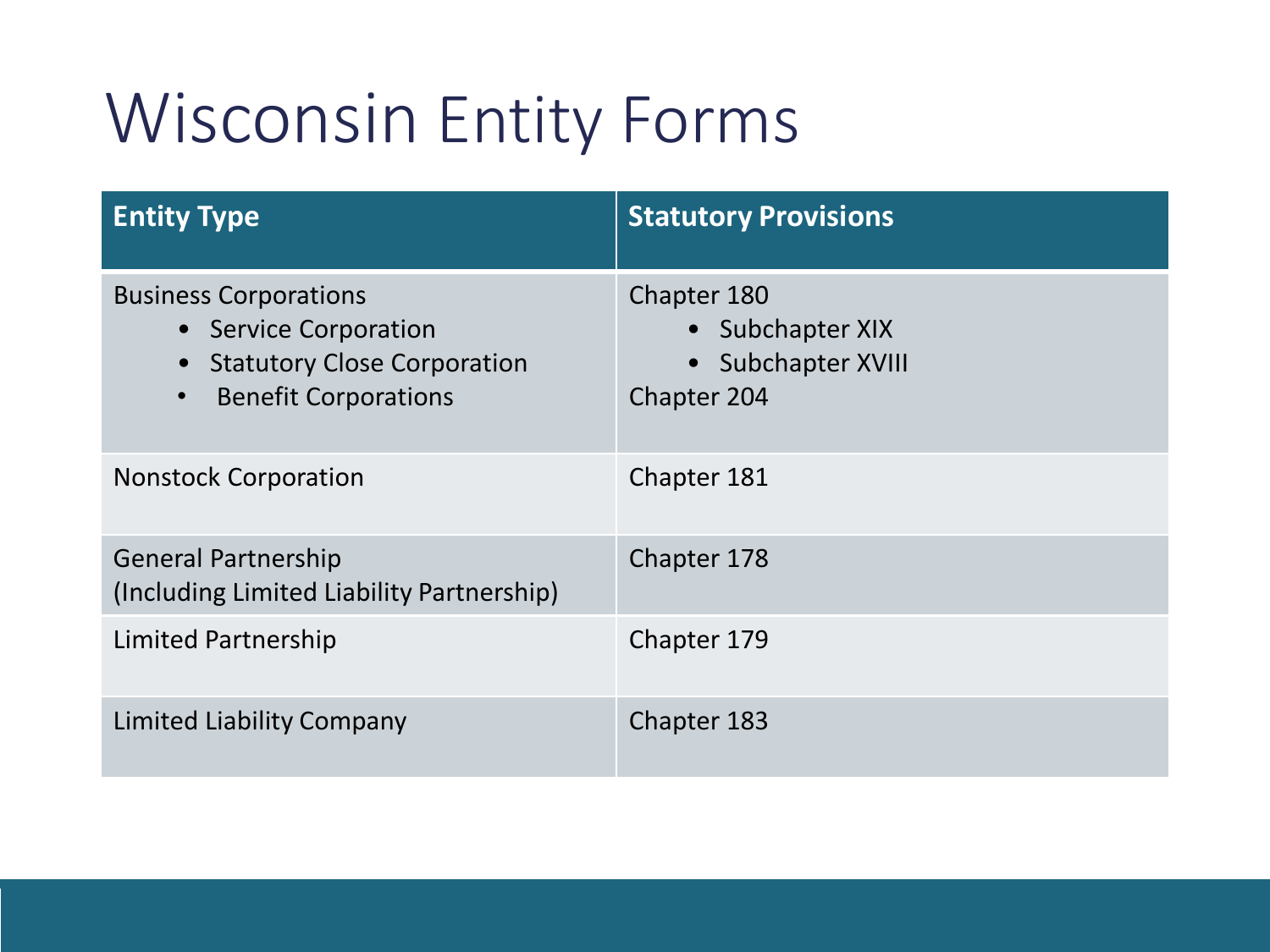#### Wisconsin Entity Forms

| <b>Entity Type</b>                                                                                                                                   | <b>Statutory Provisions</b>                                                            |
|------------------------------------------------------------------------------------------------------------------------------------------------------|----------------------------------------------------------------------------------------|
| <b>Business Corporations</b><br>• Service Corporation<br><b>Statutory Close Corporation</b><br>$\bullet$<br><b>Benefit Corporations</b><br>$\bullet$ | Chapter 180<br>• Subchapter XIX<br><b>Subchapter XVIII</b><br>$\bullet$<br>Chapter 204 |
| <b>Nonstock Corporation</b>                                                                                                                          | Chapter 181                                                                            |
| <b>General Partnership</b><br>(Including Limited Liability Partnership)                                                                              | Chapter 178                                                                            |
| Limited Partnership                                                                                                                                  | Chapter 179                                                                            |
| <b>Limited Liability Company</b>                                                                                                                     | Chapter 183                                                                            |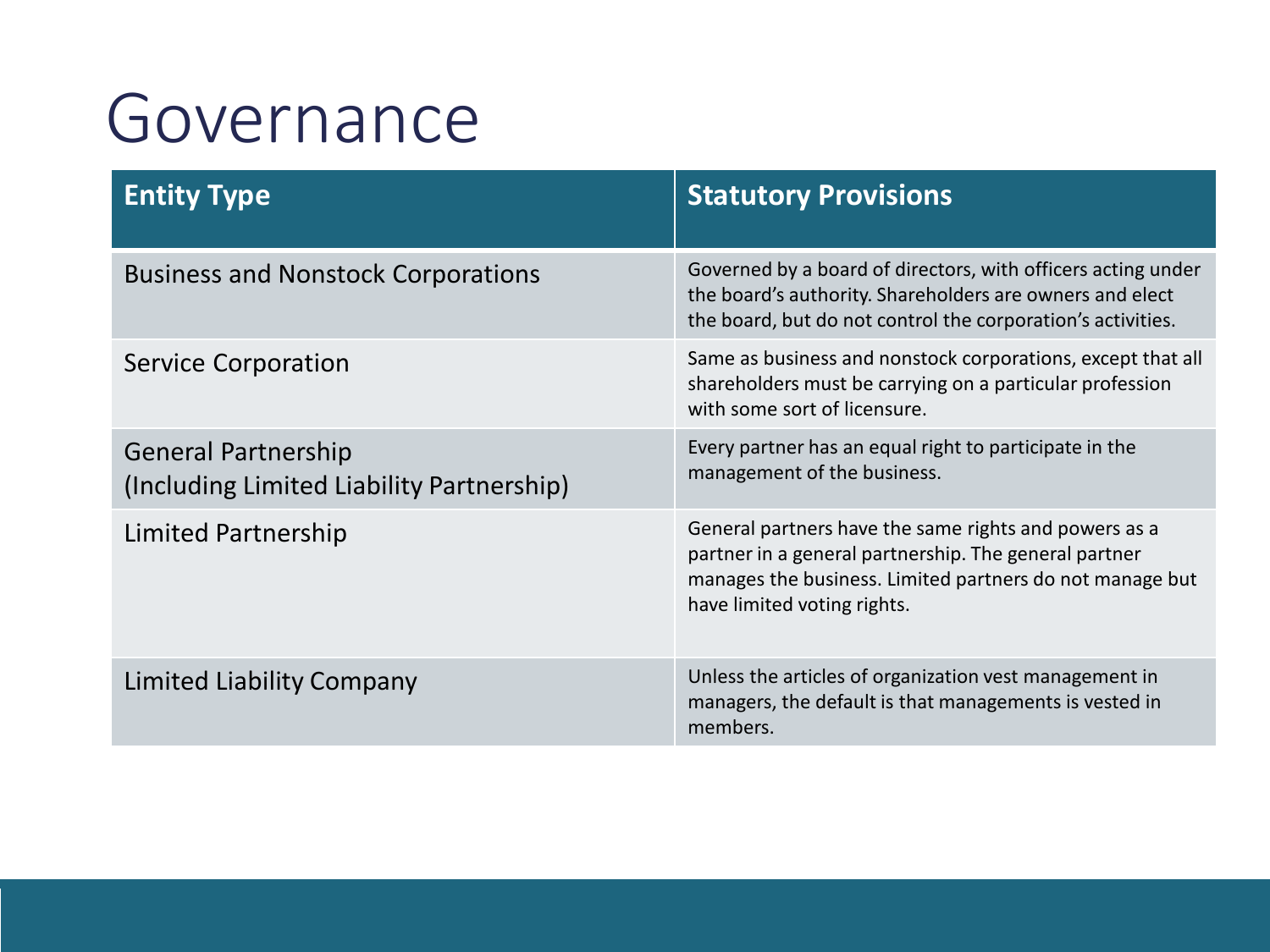#### Governance

| <b>Entity Type</b>                                                      | <b>Statutory Provisions</b>                                                                                                                                                                               |
|-------------------------------------------------------------------------|-----------------------------------------------------------------------------------------------------------------------------------------------------------------------------------------------------------|
| <b>Business and Nonstock Corporations</b>                               | Governed by a board of directors, with officers acting under<br>the board's authority. Shareholders are owners and elect<br>the board, but do not control the corporation's activities.                   |
| <b>Service Corporation</b>                                              | Same as business and nonstock corporations, except that all<br>shareholders must be carrying on a particular profession<br>with some sort of licensure.                                                   |
| <b>General Partnership</b><br>(Including Limited Liability Partnership) | Every partner has an equal right to participate in the<br>management of the business.                                                                                                                     |
| <b>Limited Partnership</b>                                              | General partners have the same rights and powers as a<br>partner in a general partnership. The general partner<br>manages the business. Limited partners do not manage but<br>have limited voting rights. |
| <b>Limited Liability Company</b>                                        | Unless the articles of organization vest management in<br>managers, the default is that managements is vested in<br>members.                                                                              |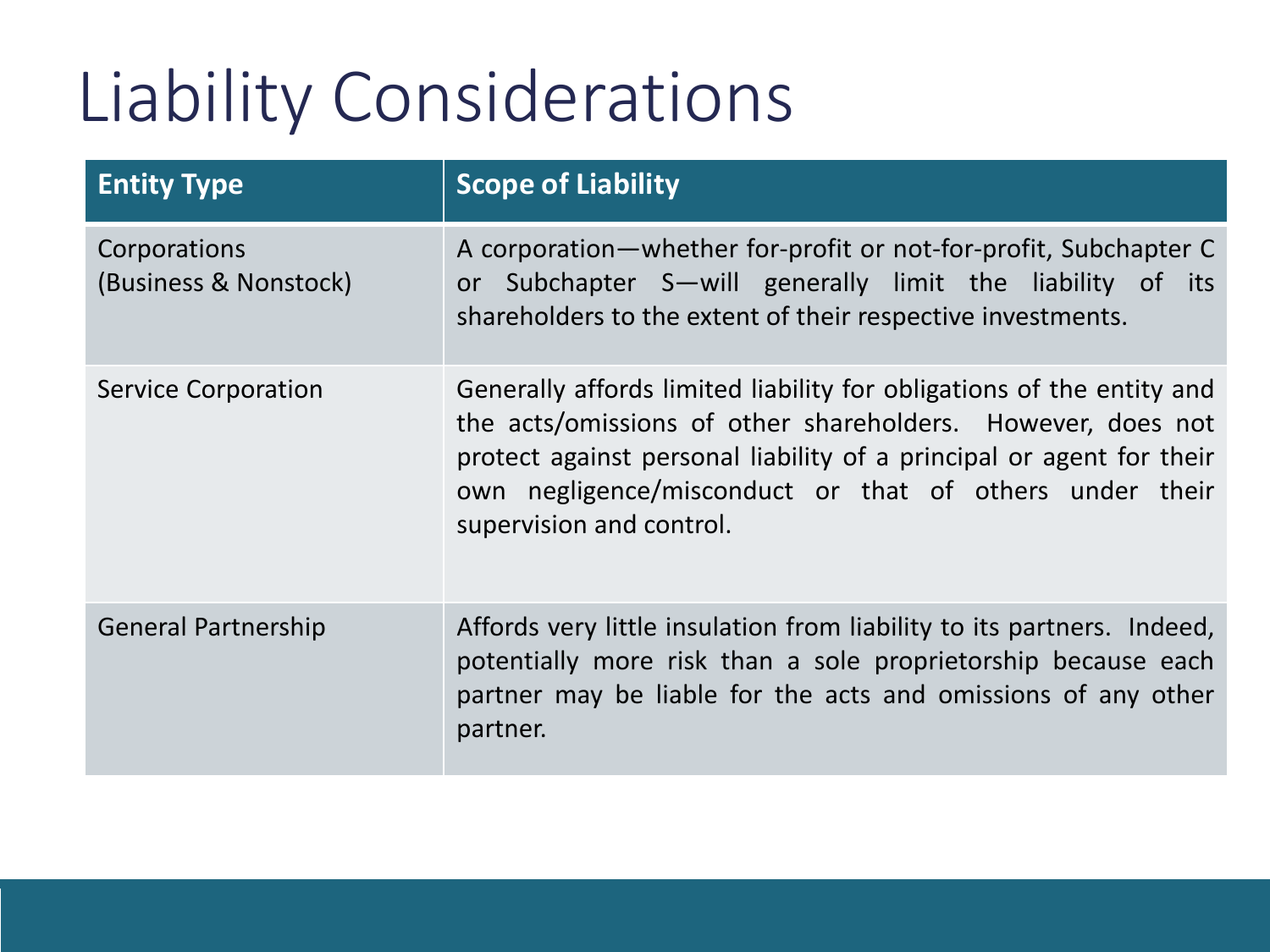## Liability Considerations

| <b>Entity Type</b>                    | <b>Scope of Liability</b>                                                                                                                                                                                                                                                                           |
|---------------------------------------|-----------------------------------------------------------------------------------------------------------------------------------------------------------------------------------------------------------------------------------------------------------------------------------------------------|
| Corporations<br>(Business & Nonstock) | A corporation-whether for-profit or not-for-profit, Subchapter C<br>Subchapter S—will generally limit the liability of its<br><b>or</b><br>shareholders to the extent of their respective investments.                                                                                              |
| <b>Service Corporation</b>            | Generally affords limited liability for obligations of the entity and<br>the acts/omissions of other shareholders. However, does not<br>protect against personal liability of a principal or agent for their<br>own negligence/misconduct or that of others under their<br>supervision and control. |
| <b>General Partnership</b>            | Affords very little insulation from liability to its partners. Indeed,<br>potentially more risk than a sole proprietorship because each<br>partner may be liable for the acts and omissions of any other<br>partner.                                                                                |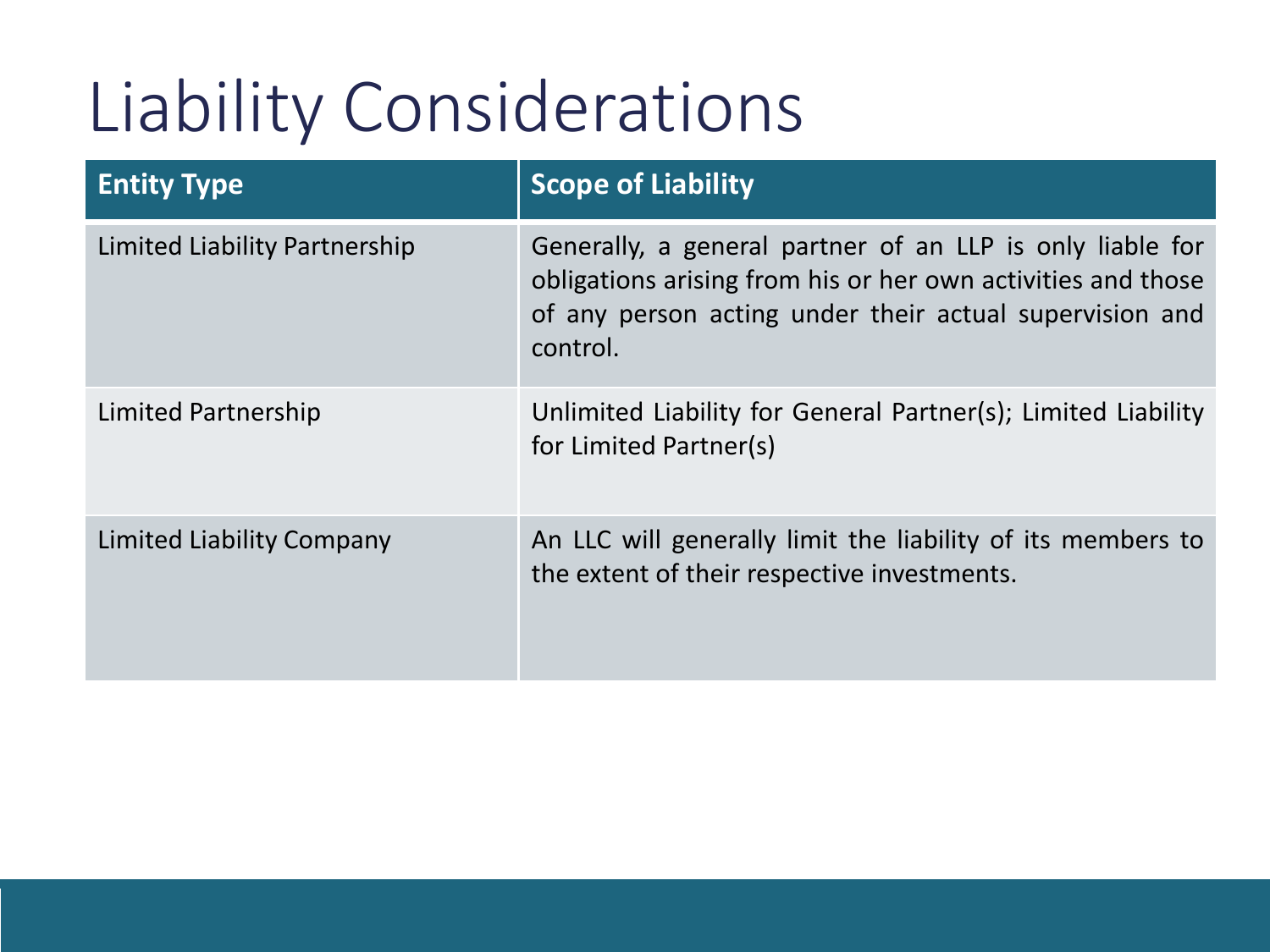## Liability Considerations

| <b>Entity Type</b>            | <b>Scope of Liability</b>                                                                                                                                                                        |
|-------------------------------|--------------------------------------------------------------------------------------------------------------------------------------------------------------------------------------------------|
| Limited Liability Partnership | Generally, a general partner of an LLP is only liable for<br>obligations arising from his or her own activities and those<br>of any person acting under their actual supervision and<br>control. |
| Limited Partnership           | Unlimited Liability for General Partner(s); Limited Liability<br>for Limited Partner(s)                                                                                                          |
| Limited Liability Company     | An LLC will generally limit the liability of its members to<br>the extent of their respective investments.                                                                                       |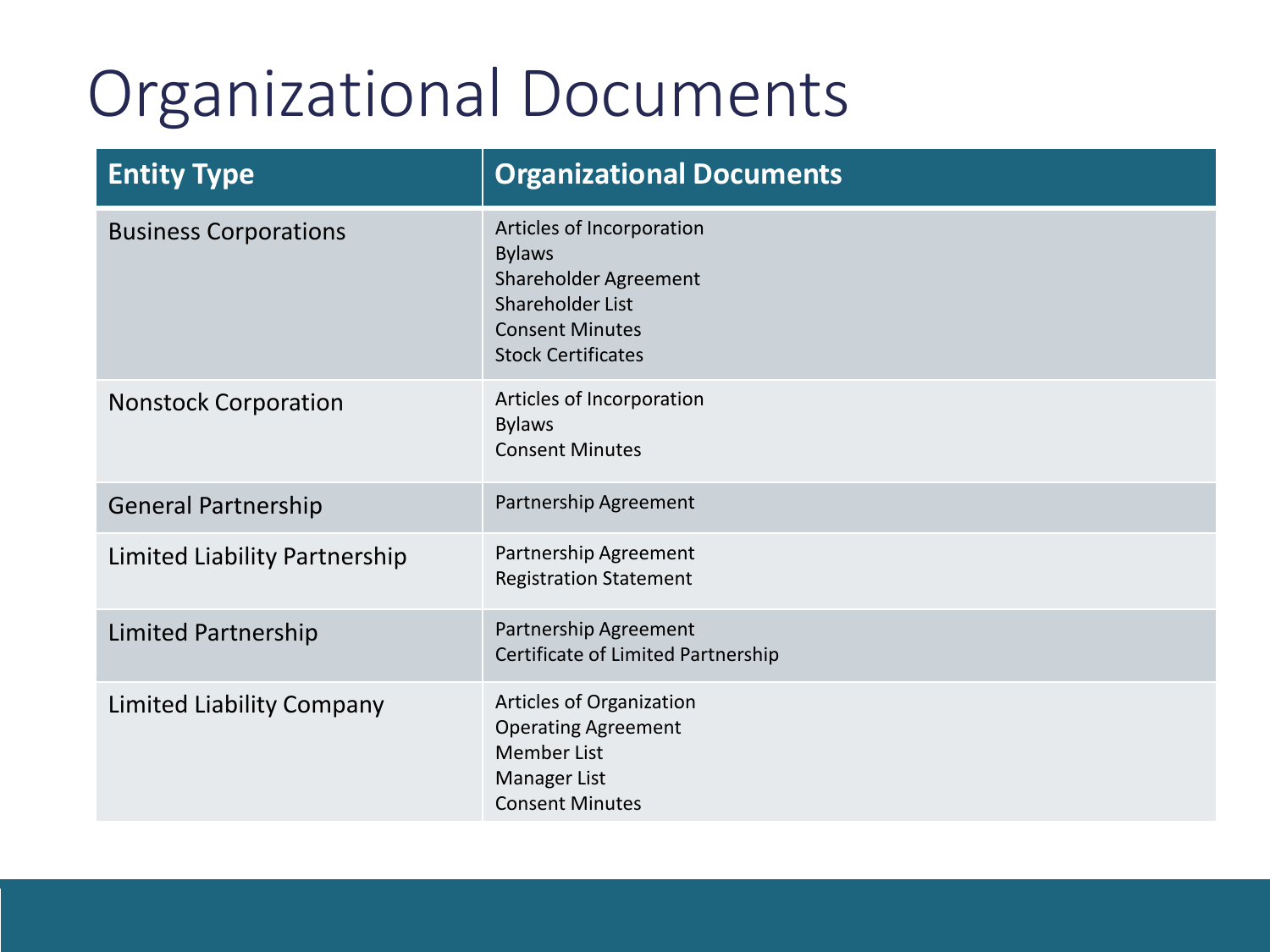#### Organizational Documents

| <b>Entity Type</b>            | <b>Organizational Documents</b>                                                                                                                |
|-------------------------------|------------------------------------------------------------------------------------------------------------------------------------------------|
| <b>Business Corporations</b>  | Articles of Incorporation<br><b>Bylaws</b><br>Shareholder Agreement<br>Shareholder List<br><b>Consent Minutes</b><br><b>Stock Certificates</b> |
| <b>Nonstock Corporation</b>   | Articles of Incorporation<br><b>Bylaws</b><br><b>Consent Minutes</b>                                                                           |
| <b>General Partnership</b>    | Partnership Agreement                                                                                                                          |
| Limited Liability Partnership | Partnership Agreement<br><b>Registration Statement</b>                                                                                         |
| <b>Limited Partnership</b>    | Partnership Agreement<br>Certificate of Limited Partnership                                                                                    |
| Limited Liability Company     | Articles of Organization<br><b>Operating Agreement</b><br><b>Member List</b><br>Manager List<br><b>Consent Minutes</b>                         |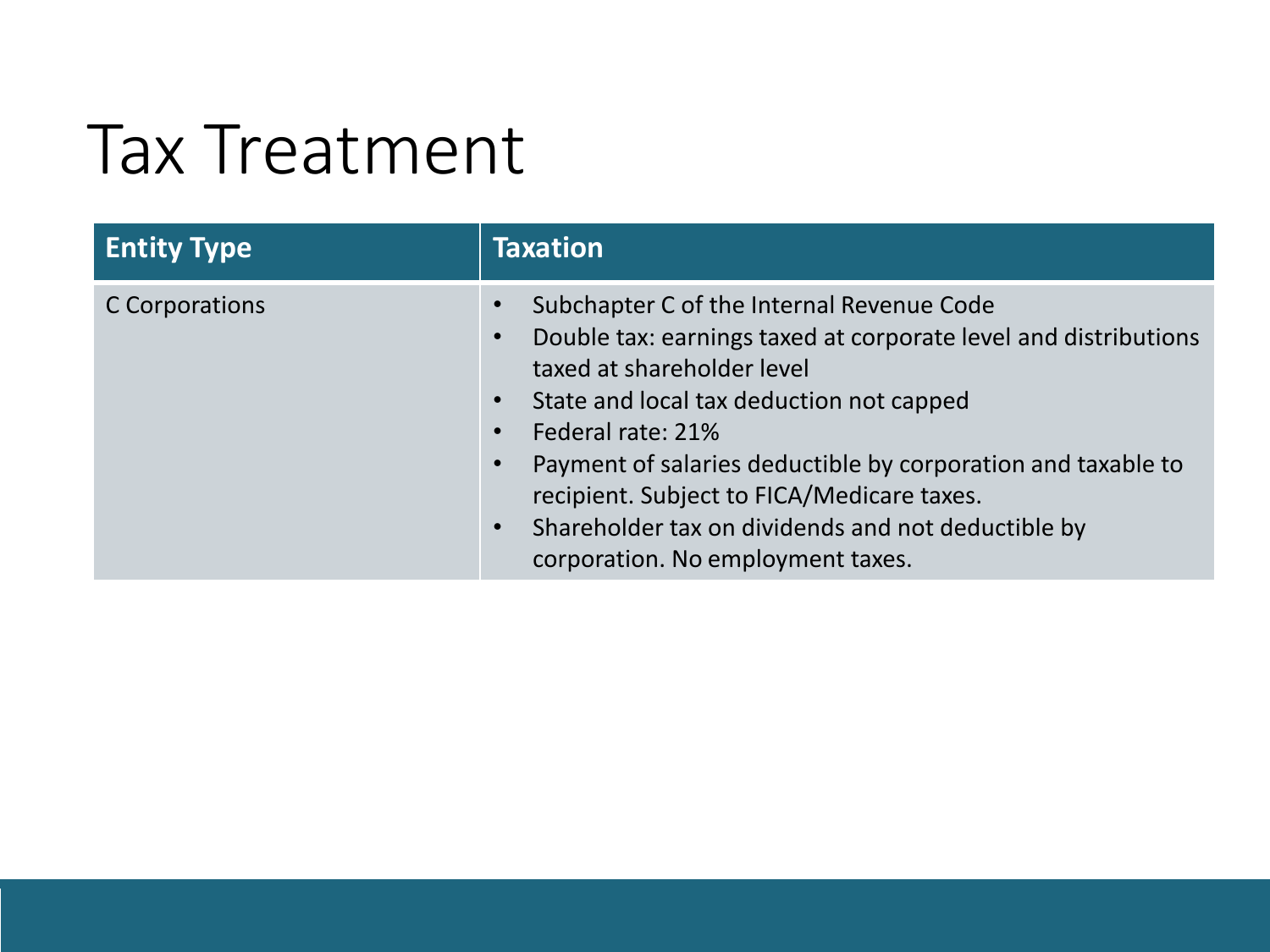#### Tax Treatment

| <b>Entity Type</b> | <b>Taxation</b>                                                                                                                                                                                                                                                                                                                                                                                                      |
|--------------------|----------------------------------------------------------------------------------------------------------------------------------------------------------------------------------------------------------------------------------------------------------------------------------------------------------------------------------------------------------------------------------------------------------------------|
| C Corporations     | Subchapter C of the Internal Revenue Code<br>Double tax: earnings taxed at corporate level and distributions<br>taxed at shareholder level<br>State and local tax deduction not capped<br>Federal rate: 21%<br>Payment of salaries deductible by corporation and taxable to<br>recipient. Subject to FICA/Medicare taxes.<br>Shareholder tax on dividends and not deductible by<br>corporation. No employment taxes. |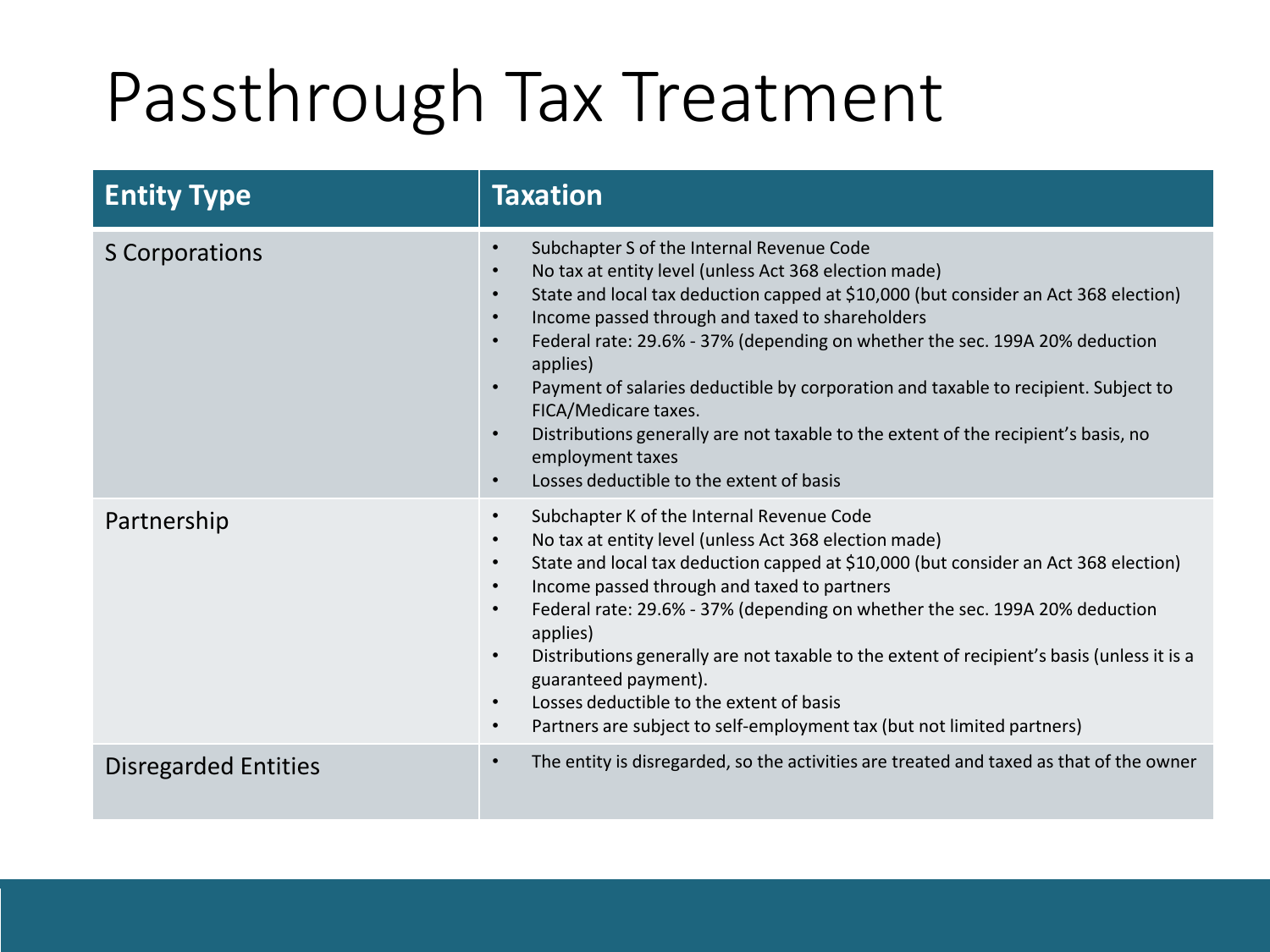## Passthrough Tax Treatment

| <b>Entity Type</b>    | <b>Taxation</b>                                                                                                                                                                                                                                                                                                                                                                                                                                                                                                                                                                                                                                                                         |
|-----------------------|-----------------------------------------------------------------------------------------------------------------------------------------------------------------------------------------------------------------------------------------------------------------------------------------------------------------------------------------------------------------------------------------------------------------------------------------------------------------------------------------------------------------------------------------------------------------------------------------------------------------------------------------------------------------------------------------|
| <b>S</b> Corporations | Subchapter S of the Internal Revenue Code<br>$\bullet$<br>No tax at entity level (unless Act 368 election made)<br>State and local tax deduction capped at \$10,000 (but consider an Act 368 election)<br>$\bullet$<br>Income passed through and taxed to shareholders<br>Federal rate: 29.6% - 37% (depending on whether the sec. 199A 20% deduction<br>applies)<br>Payment of salaries deductible by corporation and taxable to recipient. Subject to<br>FICA/Medicare taxes.<br>Distributions generally are not taxable to the extent of the recipient's basis, no<br>$\bullet$<br>employment taxes<br>Losses deductible to the extent of basis<br>$\bullet$                         |
| Partnership           | Subchapter K of the Internal Revenue Code<br>$\bullet$<br>No tax at entity level (unless Act 368 election made)<br>$\bullet$<br>State and local tax deduction capped at \$10,000 (but consider an Act 368 election)<br>$\bullet$<br>Income passed through and taxed to partners<br>$\bullet$<br>Federal rate: 29.6% - 37% (depending on whether the sec. 199A 20% deduction<br>$\bullet$<br>applies)<br>Distributions generally are not taxable to the extent of recipient's basis (unless it is a<br>$\bullet$<br>guaranteed payment).<br>Losses deductible to the extent of basis<br>$\bullet$<br>Partners are subject to self-employment tax (but not limited partners)<br>$\bullet$ |
| Disregarded Entities  | The entity is disregarded, so the activities are treated and taxed as that of the owner<br>$\bullet$                                                                                                                                                                                                                                                                                                                                                                                                                                                                                                                                                                                    |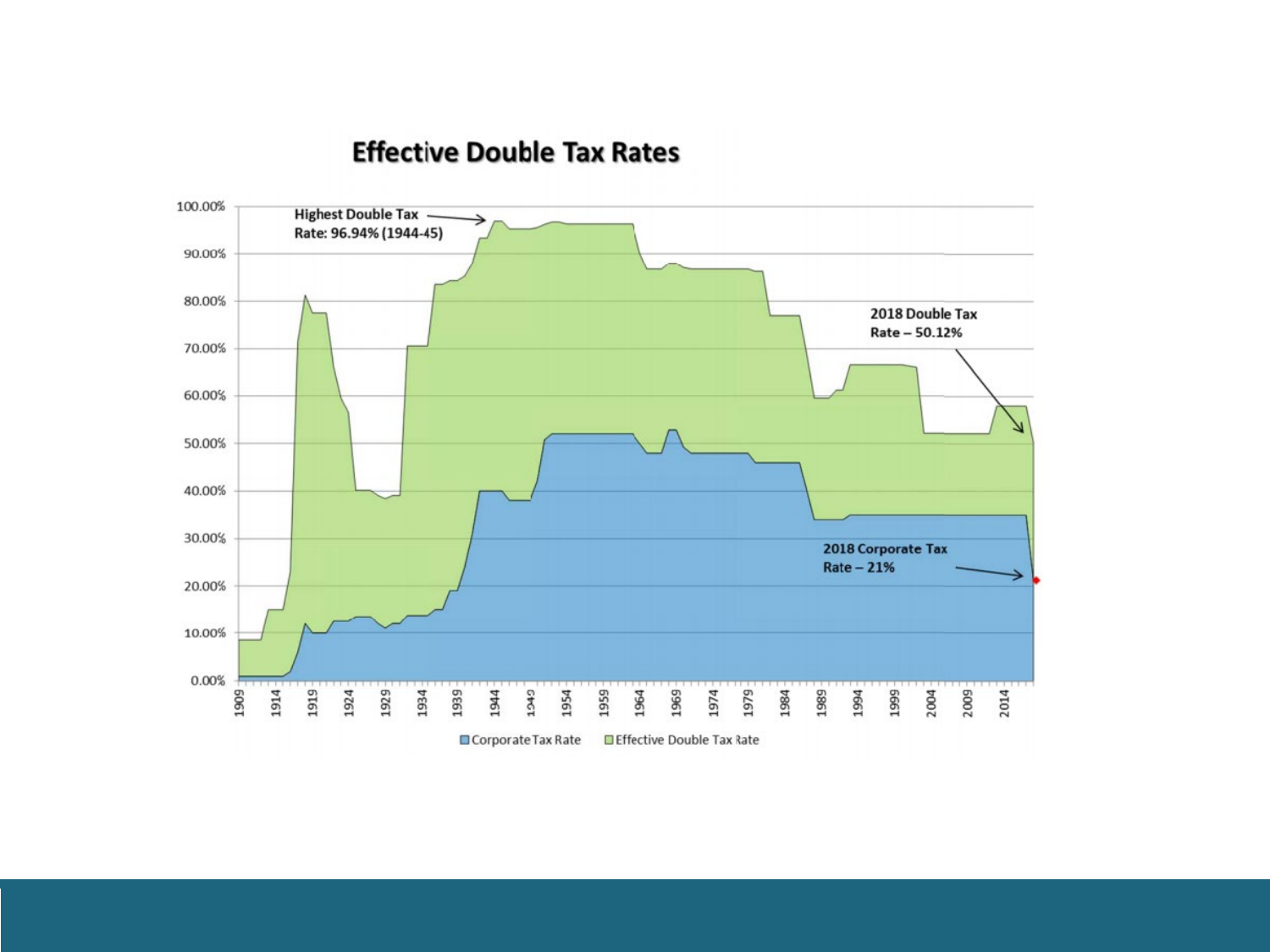#### **Effective Double Tax Rates**

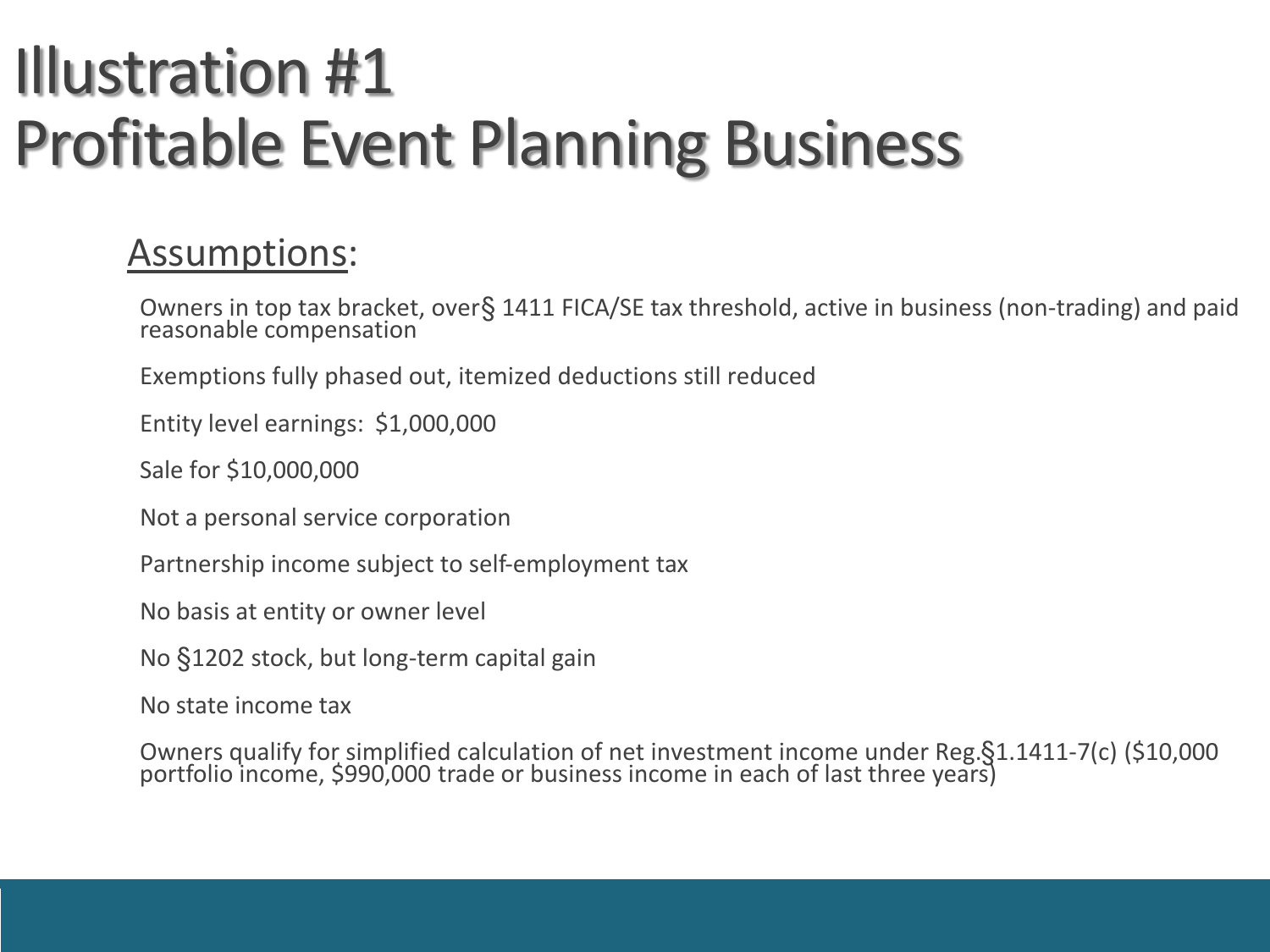#### Illustration #1 Profitable Event Planning Business

#### Assumptions:

Owners in top tax bracket, over § 1411 FICA/SE tax threshold, active in business (non-trading) and paid reasonable compensation

Exemptions fully phased out, itemized deductions still reduced

Entity level earnings: \$1,000,000

Sale for \$10,000,000

Not a personal service corporation

Partnership income subject to self-employment tax

No basis at entity or owner level

No §1202 stock, but long-term capital gain

No state income tax

Owners qualify for simplified calculation of net investment income under Reg. §1.1411-7(c) (\$10,000 portfolio income, \$990,000 trade or business income in each of last three years)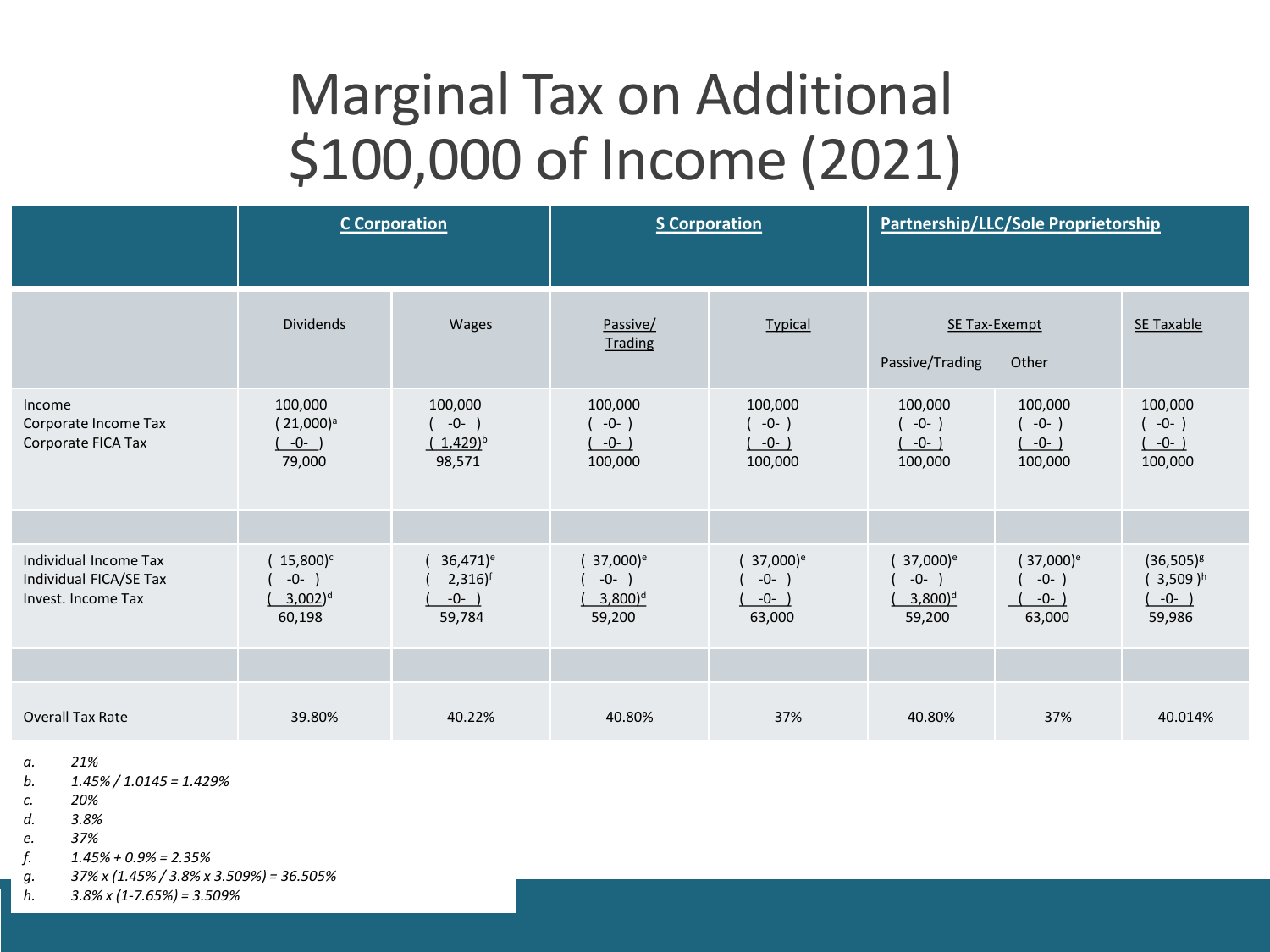#### Marginal Tax on Additional \$100,000 of Income (2021)

|                                                                       | <b>C</b> Corporation                                           |                                                                    | <b>S</b> Corporation                                              |                                                    | Partnership/LLC/Sole Proprietorship                               |                                            |                                                    |
|-----------------------------------------------------------------------|----------------------------------------------------------------|--------------------------------------------------------------------|-------------------------------------------------------------------|----------------------------------------------------|-------------------------------------------------------------------|--------------------------------------------|----------------------------------------------------|
|                                                                       | <b>Dividends</b>                                               | Wages                                                              | Passive/<br><b>Trading</b>                                        | <b>Typical</b>                                     | SE Tax-Exempt<br>Passive/Trading                                  | Other                                      | SE Taxable                                         |
| Income<br>Corporate Income Tax<br>Corporate FICA Tax                  | 100,000<br>$(21,000)^a$<br>$-0-$ )<br>79,000                   | 100,000<br>$-0-$ )<br>$(1,429)^{b}$<br>98,571                      | 100,000<br>$(-0-)$<br>$-0-$ )<br>100,000                          | 100,000<br>$-0-$ )<br>$-0-$ )<br>100,000           | 100,000<br>$-0-$ )<br>$-0-$ )<br>100,000                          | 100,000<br>$(-0-)$<br>$-0-$ )<br>100,000   | 100,000<br>$(-0-)$<br>$(-0-)$<br>100,000           |
| Individual Income Tax<br>Individual FICA/SE Tax<br>Invest. Income Tax | $15,800$ <sup>c</sup><br>-0-<br>$3,002$ <sup>d</sup><br>60,198 | $36,471$ <sup>e</sup><br>$2,316$ <sup>f</sup><br>$-0-$ )<br>59,784 | 37,000) <sup>e</sup><br>$-0-$ )<br>$3,800$ <sup>d</sup><br>59,200 | 37,000) <sup>e</sup><br>$-0-$<br>$-0-$ )<br>63,000 | 37,000) <sup>e</sup><br>$-0-$ )<br>$3,800$ <sup>d</sup><br>59,200 | $(37,000)^e$<br>$-0-$ )<br>$-0-$<br>63,000 | $(36,505)^{g}$<br>$(3,509)^h$<br>$-0-$ )<br>59,986 |
|                                                                       |                                                                |                                                                    |                                                                   |                                                    |                                                                   |                                            |                                                    |
| <b>Overall Tax Rate</b>                                               | 39.80%                                                         | 40.22%                                                             | 40.80%                                                            | 37%                                                | 40.80%                                                            | 37%                                        | 40.014%                                            |

*a. 21%*

*b. 1.45% / 1.0145 = 1.429%*

*c. 20%* 

*d. 3.8%*

*e. 37%*

*f. 1.45% + 0.9% = 2.35%*

*g. 37% x (1.45% / 3.8% x 3.509%) = 36.505%*

*h. 3.8% x (1-7.65%) = 3.509%*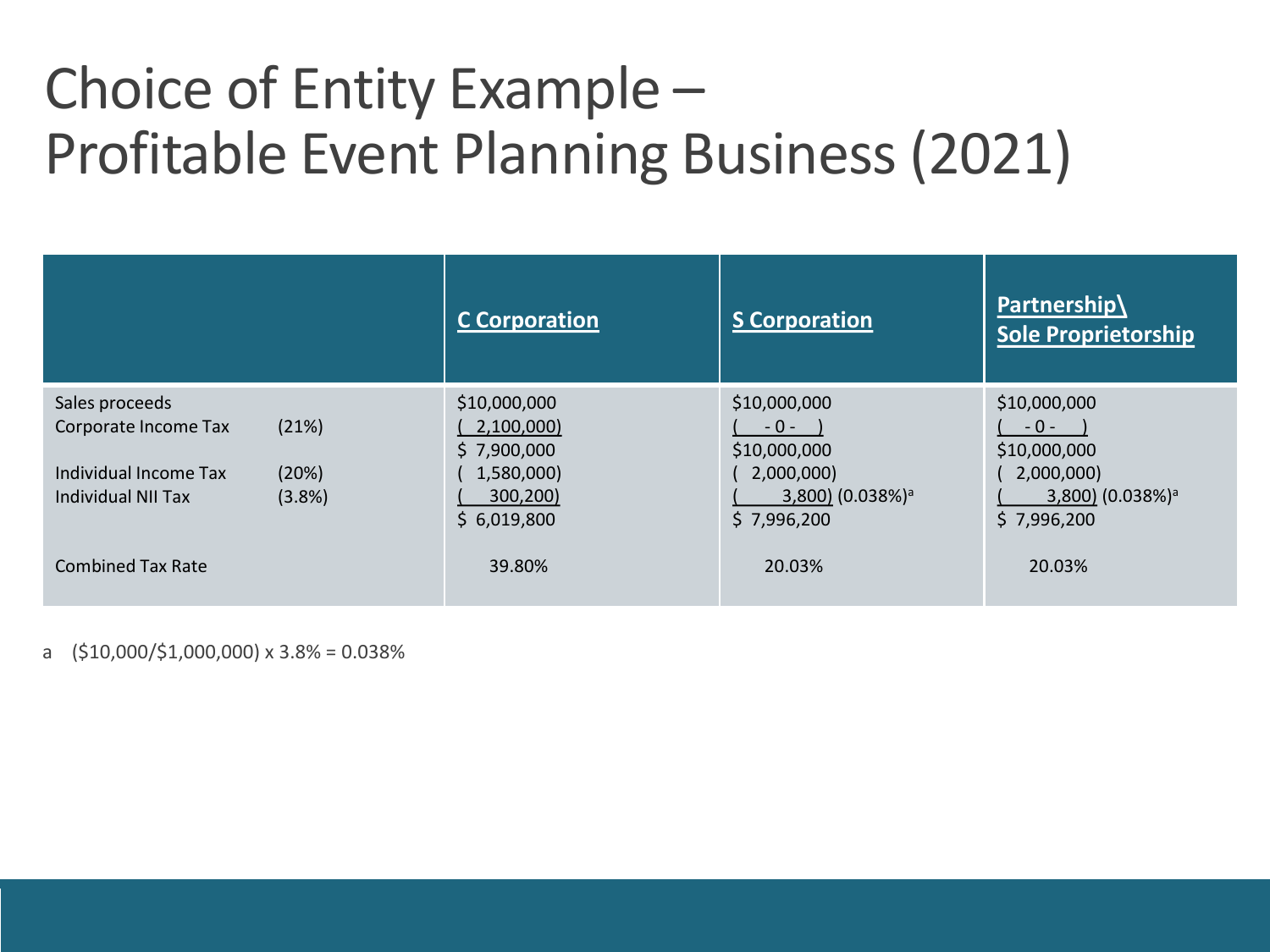#### Choice of Entity Example – Profitable Event Planning Business (2021)

|                                | <b>C</b> Corporation      | <b>S Corporation</b>         | Partnership\<br><b>Sole Proprietorship</b> |
|--------------------------------|---------------------------|------------------------------|--------------------------------------------|
| Sales proceeds                 | \$10,000,000              | \$10,000,000                 | \$10,000,000                               |
| (21%)<br>Corporate Income Tax  | 2,100,000)<br>\$7,900,000 | $-0 -$<br>\$10,000,000       | $-0-$<br>\$10,000,000                      |
| (20%)<br>Individual Income Tax | 1,580,000)                | 2,000,000)                   | 2,000,000)                                 |
| Individual NII Tax<br>(3.8%)   | 300,200)                  | 3,800) (0.038%) <sup>a</sup> | 3,800) (0.038%) <sup>a</sup>               |
|                                | \$6,019,800               | \$7,996,200                  | \$7,996,200                                |
| <b>Combined Tax Rate</b>       | 39.80%                    | 20.03%                       | 20.03%                                     |

a (\$10,000/\$1,000,000) x 3.8% = 0.038%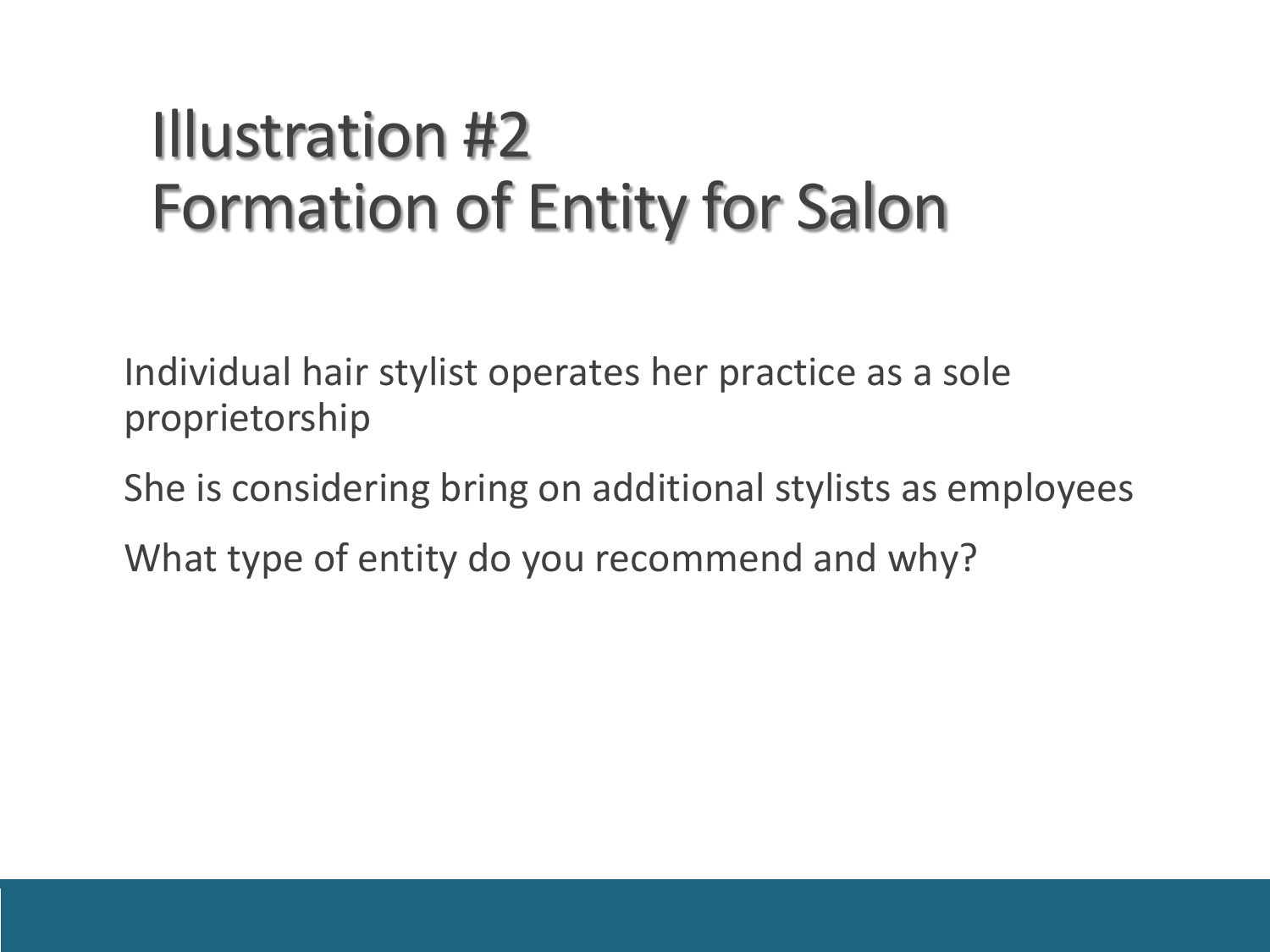#### Illustration #2 Formation of Entity for Salon

Individual hair stylist operates her practice as a sole proprietorship

She is considering bring on additional stylists as employees

What type of entity do you recommend and why?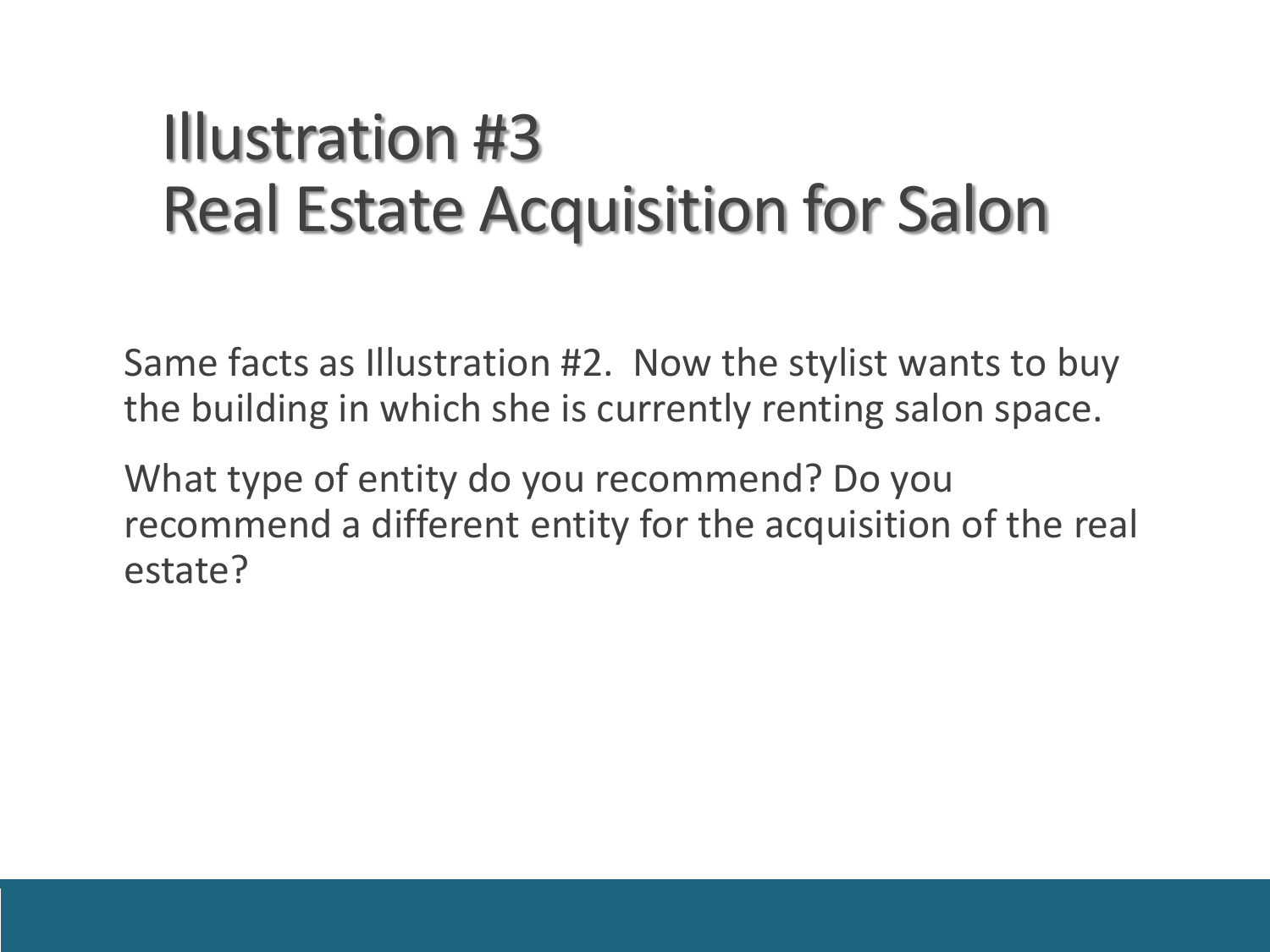#### Illustration #3 Real Estate Acquisition for Salon

Same facts as Illustration #2. Now the stylist wants to buy the building in which she is currently renting salon space.

What type of entity do you recommend? Do you recommend a different entity for the acquisition of the real estate?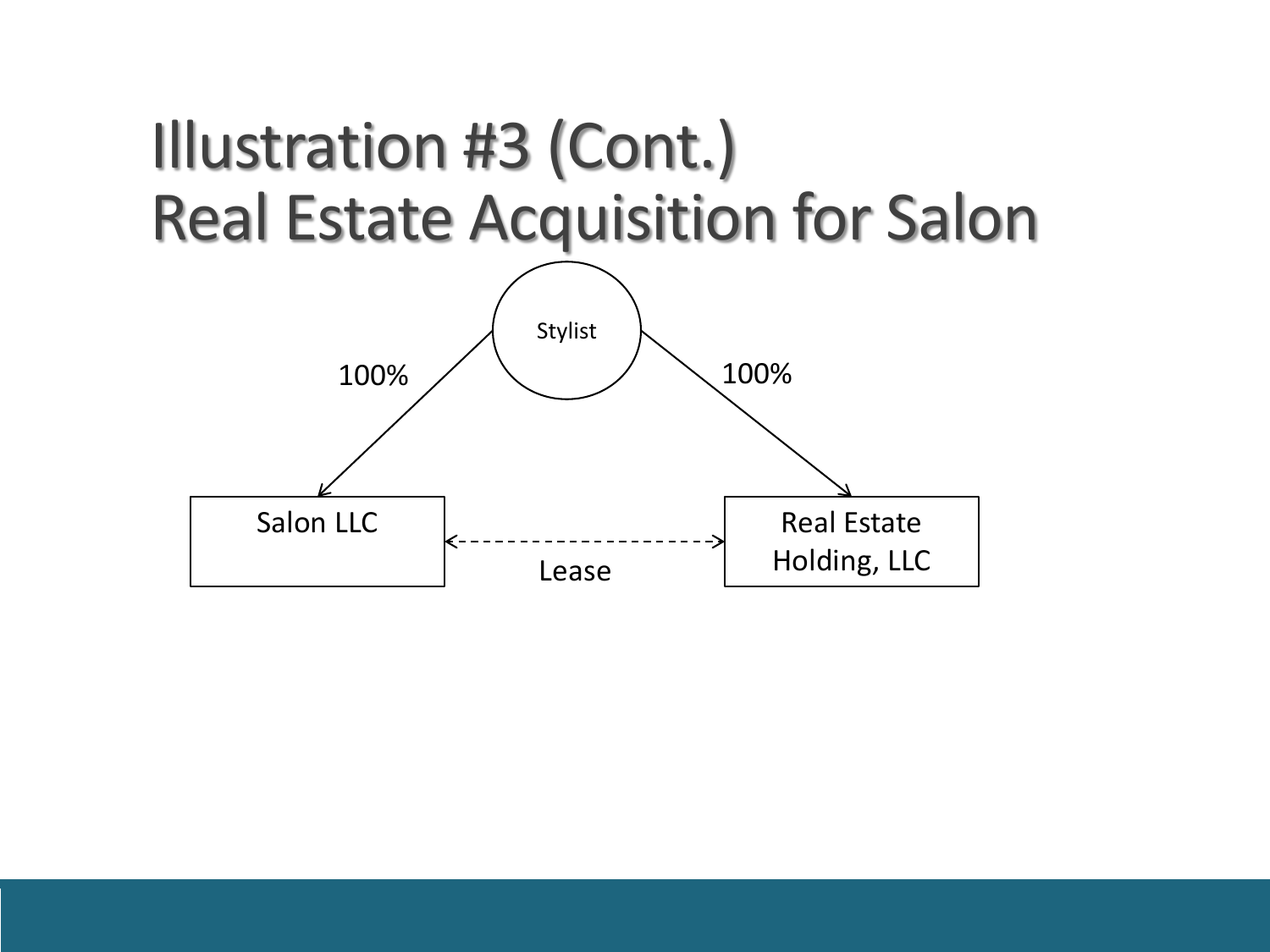#### Illustration #3 (Cont.) Real Estate Acquisition for Salon